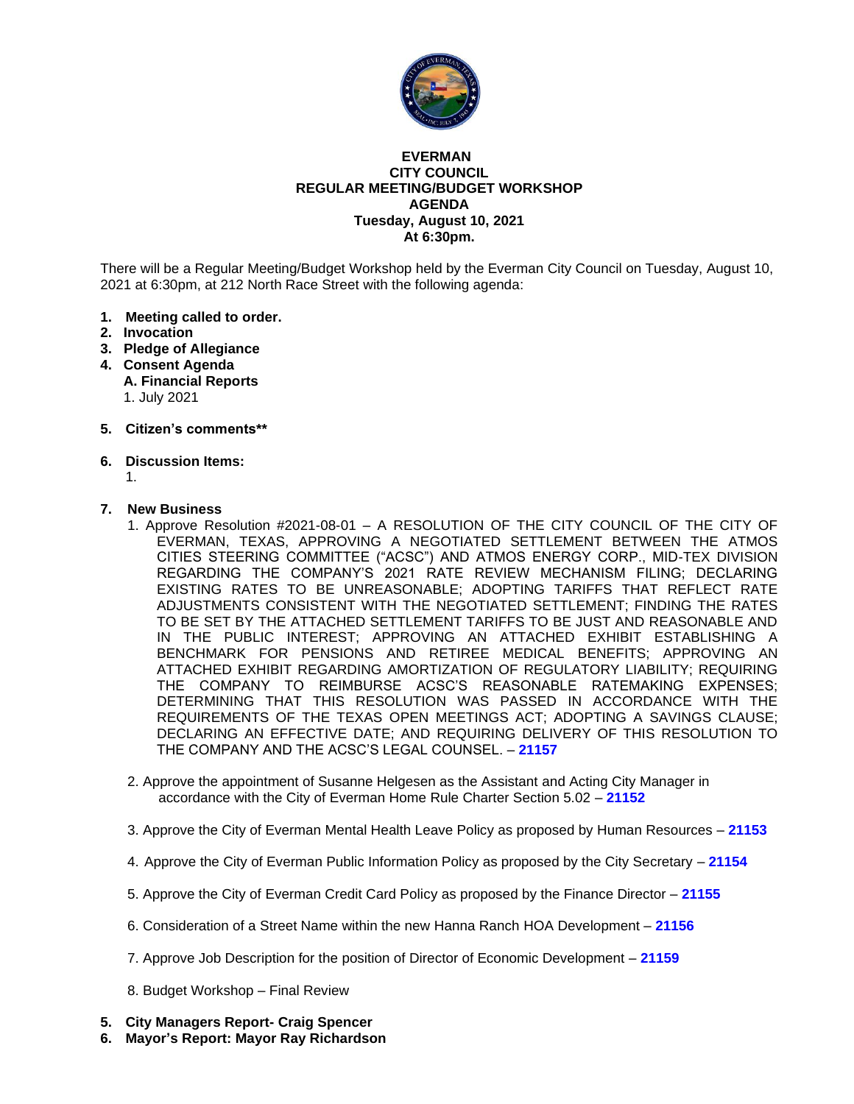

#### **EVERMAN CITY COUNCIL REGULAR MEETING/BUDGET WORKSHOP AGENDA Tuesday, August 10, 2021 At 6:30pm.**

There will be a Regular Meeting/Budget Workshop held by the Everman City Council on Tuesday, August 10, 2021 at 6:30pm, at 212 North Race Street with the following agenda:

- **1. Meeting called to order.**
- **2. Invocation**
- **3. Pledge of Allegiance**
- **4. Consent Agenda A. Financial Reports** 1. July 2021
- **5. Citizen's comments\*\***
- **6. Discussion Items:**
	- 1.

#### **7. New Business**

- 1. Approve Resolution #2021-08-01 A RESOLUTION OF THE CITY COUNCIL OF THE CITY OF EVERMAN, TEXAS, APPROVING A NEGOTIATED SETTLEMENT BETWEEN THE ATMOS CITIES STEERING COMMITTEE ("ACSC") AND ATMOS ENERGY CORP., MID-TEX DIVISION REGARDING THE COMPANY'S 2021 RATE REVIEW MECHANISM FILING; DECLARING EXISTING RATES TO BE UNREASONABLE; ADOPTING TARIFFS THAT REFLECT RATE ADJUSTMENTS CONSISTENT WITH THE NEGOTIATED SETTLEMENT; FINDING THE RATES TO BE SET BY THE ATTACHED SETTLEMENT TARIFFS TO BE JUST AND REASONABLE AND IN THE PUBLIC INTEREST; APPROVING AN ATTACHED EXHIBIT ESTABLISHING A BENCHMARK FOR PENSIONS AND RETIREE MEDICAL BENEFITS; APPROVING AN ATTACHED EXHIBIT REGARDING AMORTIZATION OF REGULATORY LIABILITY; REQUIRING THE COMPANY TO REIMBURSE ACSC'S REASONABLE RATEMAKING EXPENSES; DETERMINING THAT THIS RESOLUTION WAS PASSED IN ACCORDANCE WITH THE REQUIREMENTS OF THE TEXAS OPEN MEETINGS ACT; ADOPTING A SAVINGS CLAUSE; DECLARING AN EFFECTIVE DATE; AND REQUIRING DELIVERY OF THIS RESOLUTION TO THE COMPANY AND THE ACSC'S LEGAL COUNSEL. – **[21157](#page-2-0)**
- 2. Approve the appointment of Susanne Helgesen as the Assistant and Acting City Manager in accordance with the City of Everman Home Rule Charter Section 5.02 – **[21152](#page-4-0)**
- 3. Approve the City of Everman Mental Health Leave Policy as proposed by Human Resources **[21153](#page-5-0)**
- 4. Approve the City of Everman Public Information Policy as proposed by the City Secretary **[21154](#page-6-0)**
- 5. Approve the City of Everman Credit Card Policy as proposed by the Finance Director **[21155](#page-7-0)**
- 6. Consideration of a Street Name within the new Hanna Ranch HOA Development **[21156](#page-8-0)**
- 7. Approve Job Description for the position of Director of Economic Development **[21159](#page-9-0)**
- [8. Budget Workshop –](#page-10-0) Final Review
- **5. City Managers Report- Craig Spencer**
- **6. Mayor's Report: Mayor Ray Richardson**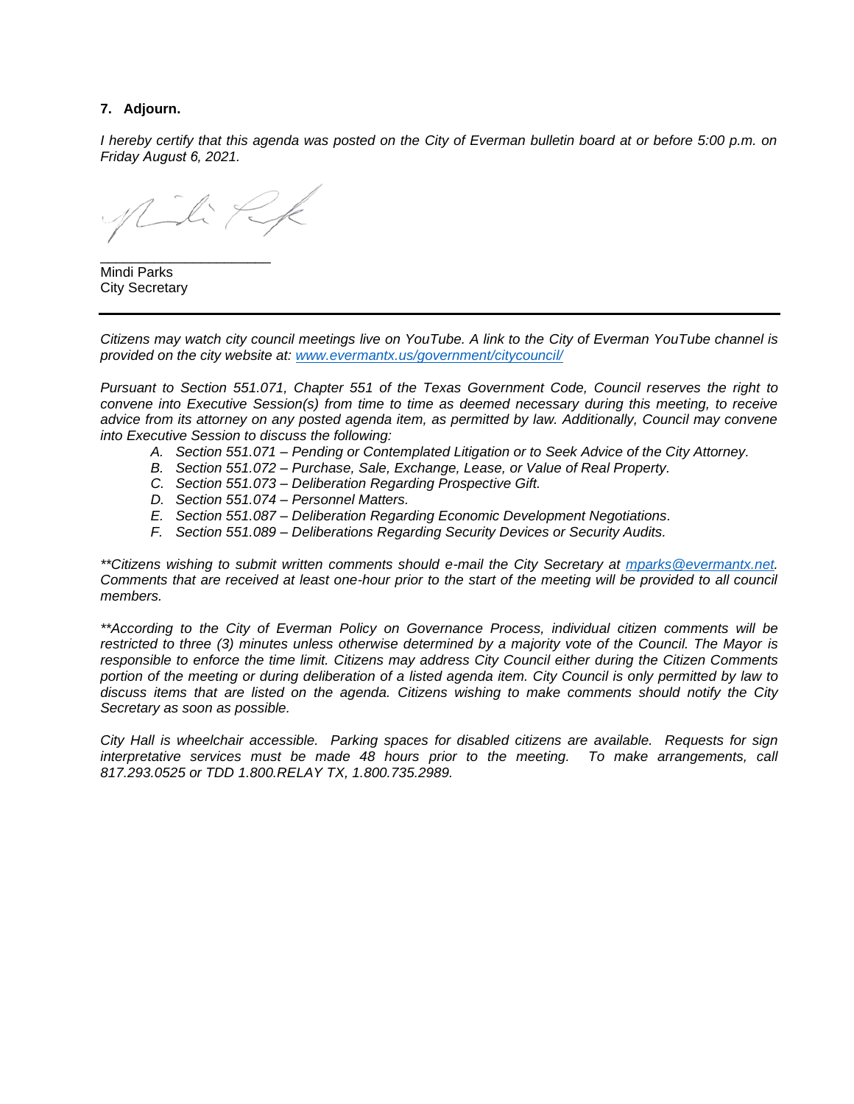#### **7. Adjourn.**

*I hereby certify that this agenda was posted on the City of Everman bulletin board at or before 5:00 p.m. on Friday August 6, 2021.*

Nili Rk

\_\_\_\_\_\_\_\_\_\_\_\_\_\_\_\_\_\_\_\_\_\_ Mindi Parks City Secretary

*Citizens may watch city council meetings live on YouTube. A link to the City of Everman YouTube channel is provided on the city website at: [www.evermantx.us/government/citycouncil/](http://www.evermantx.us/government/citycouncil/)*

*Pursuant to Section 551.071, Chapter 551 of the Texas Government Code, Council reserves the right to convene into Executive Session(s) from time to time as deemed necessary during this meeting, to receive advice from its attorney on any posted agenda item, as permitted by law. Additionally, Council may convene into Executive Session to discuss the following:*

- *A. Section 551.071 – Pending or Contemplated Litigation or to Seek Advice of the City Attorney.*
- *B. Section 551.072 – Purchase, Sale, Exchange, Lease, or Value of Real Property.*
- *C. Section 551.073 – Deliberation Regarding Prospective Gift.*
- *D. Section 551.074 – Personnel Matters.*
- *E. Section 551.087 – Deliberation Regarding Economic Development Negotiations.*
- *F. Section 551.089 – Deliberations Regarding Security Devices or Security Audits.*

*\*\*Citizens wishing to submit written comments should e-mail the City Secretary at [mparks@evermantx.net.](mailto:mparks@evermantx.net) Comments that are received at least one-hour prior to the start of the meeting will be provided to all council members.* 

*\*\*According to the City of Everman Policy on Governance Process, individual citizen comments will be restricted to three (3) minutes unless otherwise determined by a majority vote of the Council. The Mayor is responsible to enforce the time limit. Citizens may address City Council either during the Citizen Comments portion of the meeting or during deliberation of a listed agenda item. City Council is only permitted by law to discuss items that are listed on the agenda. Citizens wishing to make comments should notify the City Secretary as soon as possible.* 

*City Hall is wheelchair accessible. Parking spaces for disabled citizens are available. Requests for sign interpretative services must be made 48 hours prior to the meeting. To make arrangements, call 817.293.0525 or TDD 1.800.RELAY TX, 1.800.735.2989.*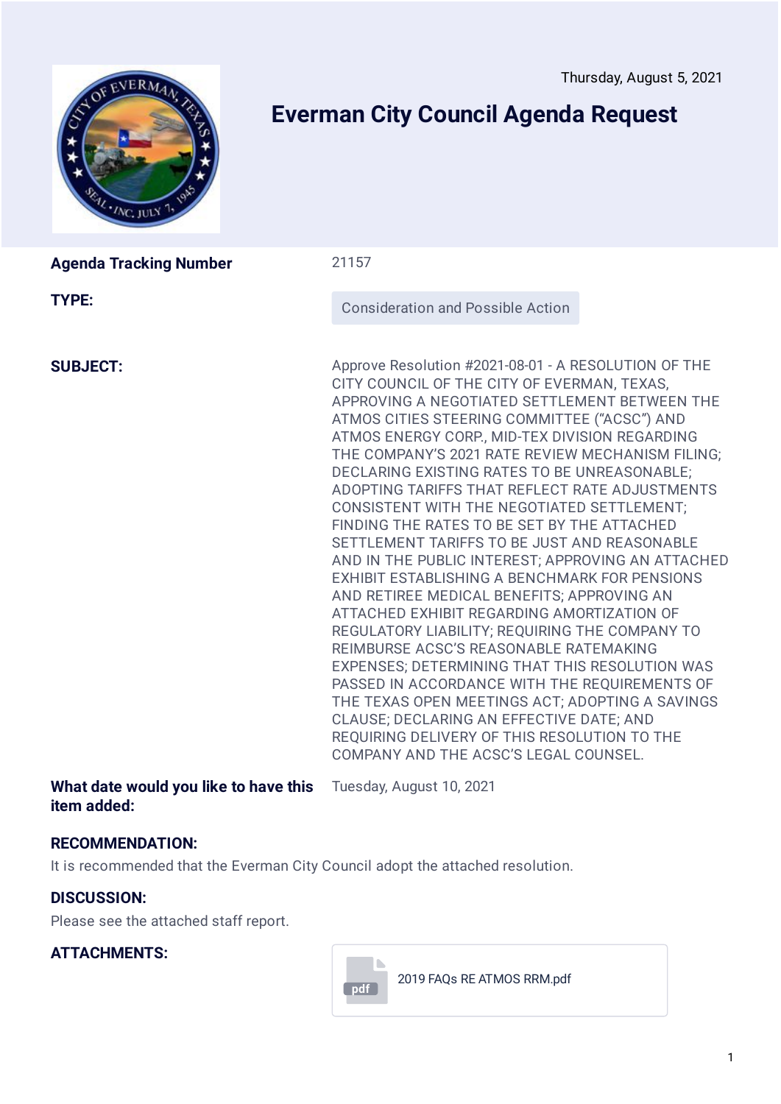<span id="page-2-0"></span>

# **Everman City Council Agenda Request**

| <b>Agenda Tracking Number</b> | 21157                                                                                                                                                                                                                                                                                                                                                                                                                                                                                                                                                                                                                                                                                                                                                                                                                                                                                                                                                                                                                                                                                                                                              |
|-------------------------------|----------------------------------------------------------------------------------------------------------------------------------------------------------------------------------------------------------------------------------------------------------------------------------------------------------------------------------------------------------------------------------------------------------------------------------------------------------------------------------------------------------------------------------------------------------------------------------------------------------------------------------------------------------------------------------------------------------------------------------------------------------------------------------------------------------------------------------------------------------------------------------------------------------------------------------------------------------------------------------------------------------------------------------------------------------------------------------------------------------------------------------------------------|
| <b>TYPE:</b>                  | <b>Consideration and Possible Action</b>                                                                                                                                                                                                                                                                                                                                                                                                                                                                                                                                                                                                                                                                                                                                                                                                                                                                                                                                                                                                                                                                                                           |
| <b>SUBJECT:</b>               | Approve Resolution #2021-08-01 - A RESOLUTION OF THE<br>CITY COUNCIL OF THE CITY OF EVERMAN, TEXAS,<br>APPROVING A NEGOTIATED SETTLEMENT BETWEEN THE<br>ATMOS CITIES STEERING COMMITTEE ("ACSC") AND<br>ATMOS ENERGY CORP., MID-TEX DIVISION REGARDING<br>THE COMPANY'S 2021 RATE REVIEW MECHANISM FILING;<br>DECLARING EXISTING RATES TO BE UNREASONABLE;<br>ADOPTING TARIFFS THAT REFLECT RATE ADJUSTMENTS<br>CONSISTENT WITH THE NEGOTIATED SETTLEMENT;<br>FINDING THE RATES TO BE SET BY THE ATTACHED<br>SETTLEMENT TARIFFS TO BE JUST AND REASONABLE<br>AND IN THE PUBLIC INTEREST; APPROVING AN ATTACHED<br>EXHIBIT ESTABLISHING A BENCHMARK FOR PENSIONS<br>AND RETIREE MEDICAL BENEFITS; APPROVING AN<br>ATTACHED EXHIBIT REGARDING AMORTIZATION OF<br>REGULATORY LIABILITY; REQUIRING THE COMPANY TO<br>REIMBURSE ACSC'S REASONABLE RATEMAKING<br>EXPENSES; DETERMINING THAT THIS RESOLUTION WAS<br>PASSED IN ACCORDANCE WITH THE REQUIREMENTS OF<br>THE TEXAS OPEN MEETINGS ACT; ADOPTING A SAVINGS<br>CLAUSE; DECLARING AN EFFECTIVE DATE; AND<br>REQUIRING DELIVERY OF THIS RESOLUTION TO THE<br>COMPANY AND THE ACSC'S LEGAL COUNSEL. |

**What date would you like to have this** Tuesday, August 10, 2021 **item added:**

### **RECOMMENDATION:**

It is recommended that the Everman City Council adopt the attached resolution.

### **DISCUSSION:**

Please see the attached staff report.

### **ATTACHMENTS:**



2019 FAQs RE ATMOS [RRM.pdf](https://www.jotform.com/uploads/Cspencer101/202613509372047/5040074008314325680/2019%20FAQs%20RE%20ATMOS%20RRM.pdf)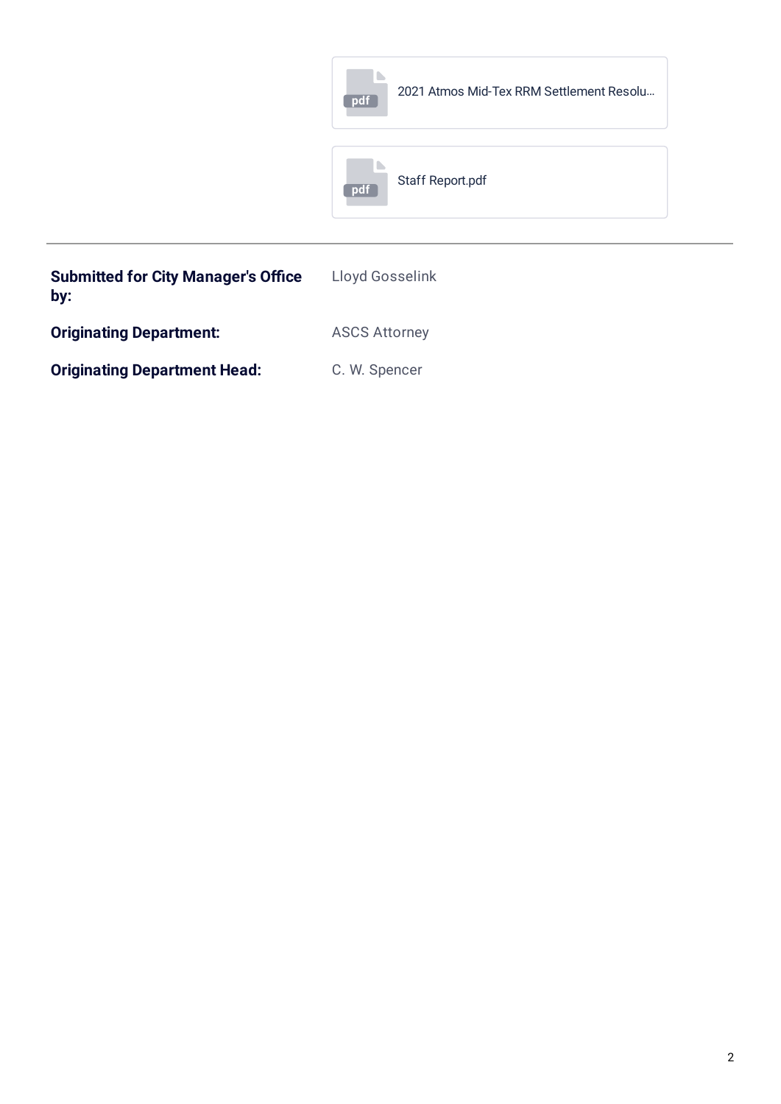|                                                   | 2021 Atmos Mid-Tex RRM Settlement Resolu<br>pdf |  |
|---------------------------------------------------|-------------------------------------------------|--|
|                                                   | Staff Report.pdf<br>pdf                         |  |
| <b>Submitted for City Manager's Office</b><br>by: | Lloyd Gosselink                                 |  |

**Originating Department:** ASCS Attorney

**Originating Department Head:** C. W. Spencer

2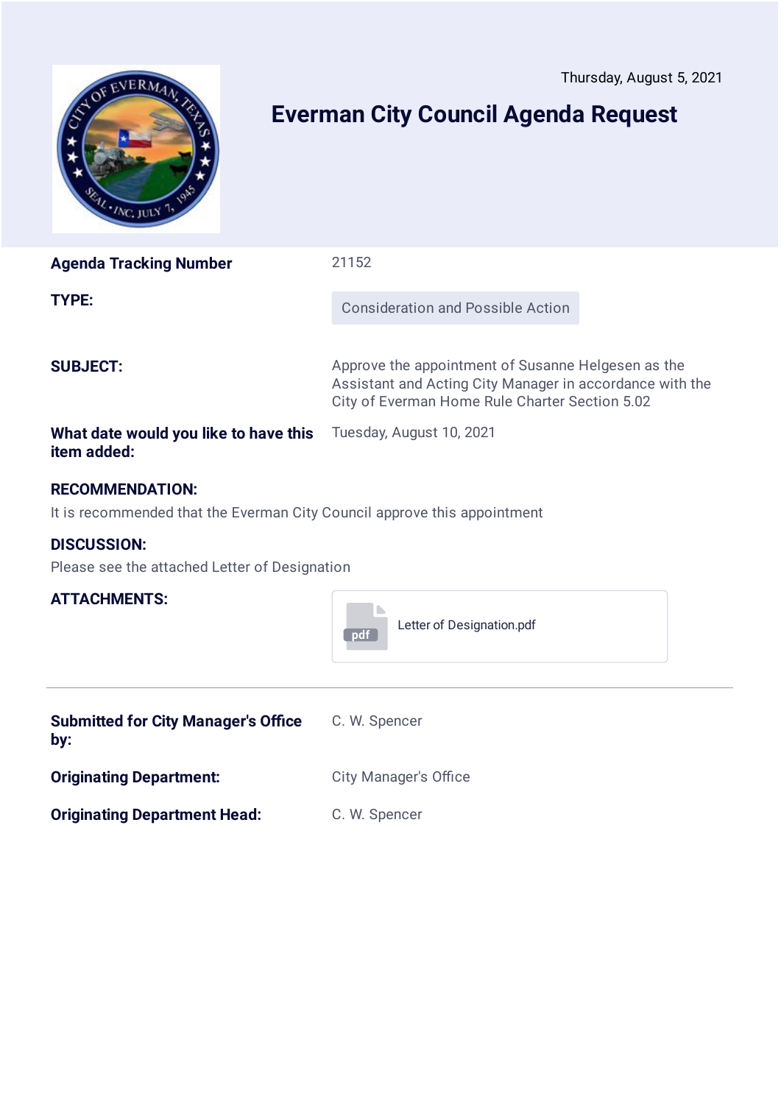<span id="page-4-0"></span>

# **Everman City Council Agenda Request**

| <b>Agenda Tracking Number</b>                                                                      | 21152                                                                                                                                                            |  |
|----------------------------------------------------------------------------------------------------|------------------------------------------------------------------------------------------------------------------------------------------------------------------|--|
| TYPE:                                                                                              | <b>Consideration and Possible Action</b>                                                                                                                         |  |
| <b>SUBJECT:</b>                                                                                    | Approve the appointment of Susanne Helgesen as the<br>Assistant and Acting City Manager in accordance with the<br>City of Everman Home Rule Charter Section 5.02 |  |
| What date would you like to have this<br>item added:                                               | Tuesday, August 10, 2021                                                                                                                                         |  |
| <b>RECOMMENDATION:</b><br>It is recommended that the Everman City Council approve this appointment |                                                                                                                                                                  |  |
| <b>DISCUSSION:</b><br>Please see the attached Letter of Designation                                |                                                                                                                                                                  |  |

### **ATTACHMENTS:**

| . <i>. .</i>                                      | Letter of Designation.pdf<br>pdf |
|---------------------------------------------------|----------------------------------|
| <b>Submitted for City Manager's Office</b><br>by: | C. W. Spencer                    |

**Originating Department Head:** C. W. Spencer

**Originating Department:** City Manager's Office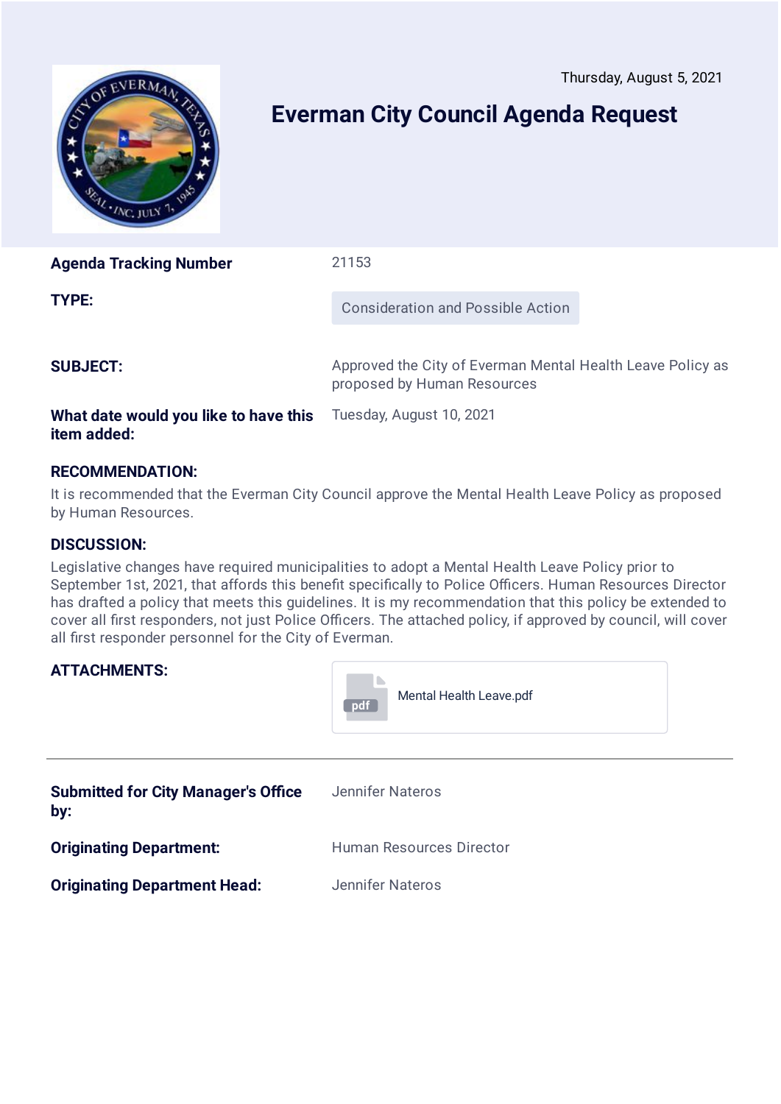<span id="page-5-0"></span>

# **Everman City Council Agenda Request**

**Agenda Tracking Number** 21153 **TYPE:** Consideration and Possible Action **SUBJECT:** Approved the City of Everman Mental Health Leave Policy as proposed by Human Resources

#### **What date would you like to have this item added:**

Tuesday, August 10, 2021

### **RECOMMENDATION:**

It is recommended that the Everman City Council approve the Mental Health Leave Policy as proposed by Human Resources.

### **DISCUSSION:**

Legislative changes have required municipalities to adopt a Mental Health Leave Policy prior to September 1st, 2021, that affords this benefit specifically to Police Officers. Human Resources Director has drafted a policy that meets this guidelines. It is my recommendation that this policy be extended to cover all first responders, not just Police Officers. The attached policy, if approved by council, will cover all first responder personnel for the City of Everman.

### **ATTACHMENTS:**

|                                                   | Mental Health Leave.pdf<br>pdf  |
|---------------------------------------------------|---------------------------------|
| <b>Submitted for City Manager's Office</b><br>by: | Jennifer Nateros                |
| <b>Originating Department:</b>                    | <b>Human Resources Director</b> |
| <b>Originating Department Head:</b>               | <b>Jennifer Nateros</b>         |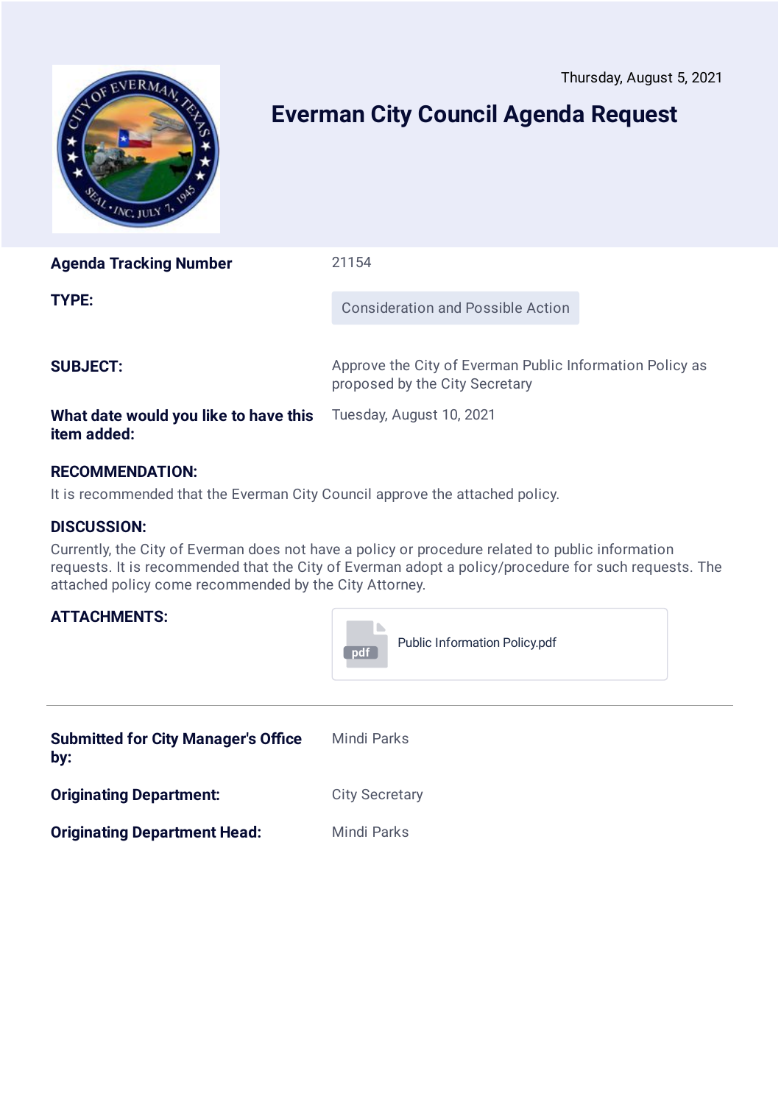<span id="page-6-0"></span>

# **Everman City Council Agenda Request**

**Agenda Tracking Number** 21154

**TYPE:** Consideration and Possible Action

**SUBJECT:** Approve the City of Everman Public Information Policy as proposed by the City Secretary

### **What date would you like to have this item added:**

Tuesday, August 10, 2021

### **RECOMMENDATION:**

It is recommended that the Everman City Council approve the attached policy.

### **DISCUSSION:**

**ATTACHMENTS:**

Currently, the City of Everman does not have a policy or procedure related to public information requests. It is recommended that the City of Everman adopt a policy/procedure for such requests. The attached policy come recommended by the City Attorney.

| pdf | <b>Public Information Policy.pdf</b> |
|-----|--------------------------------------|
|-----|--------------------------------------|

| <b>Submitted for City Manager's Office</b><br>by: | Mindi Parks           |
|---------------------------------------------------|-----------------------|
| <b>Originating Department:</b>                    | <b>City Secretary</b> |
| <b>Originating Department Head:</b>               | Mindi Parks           |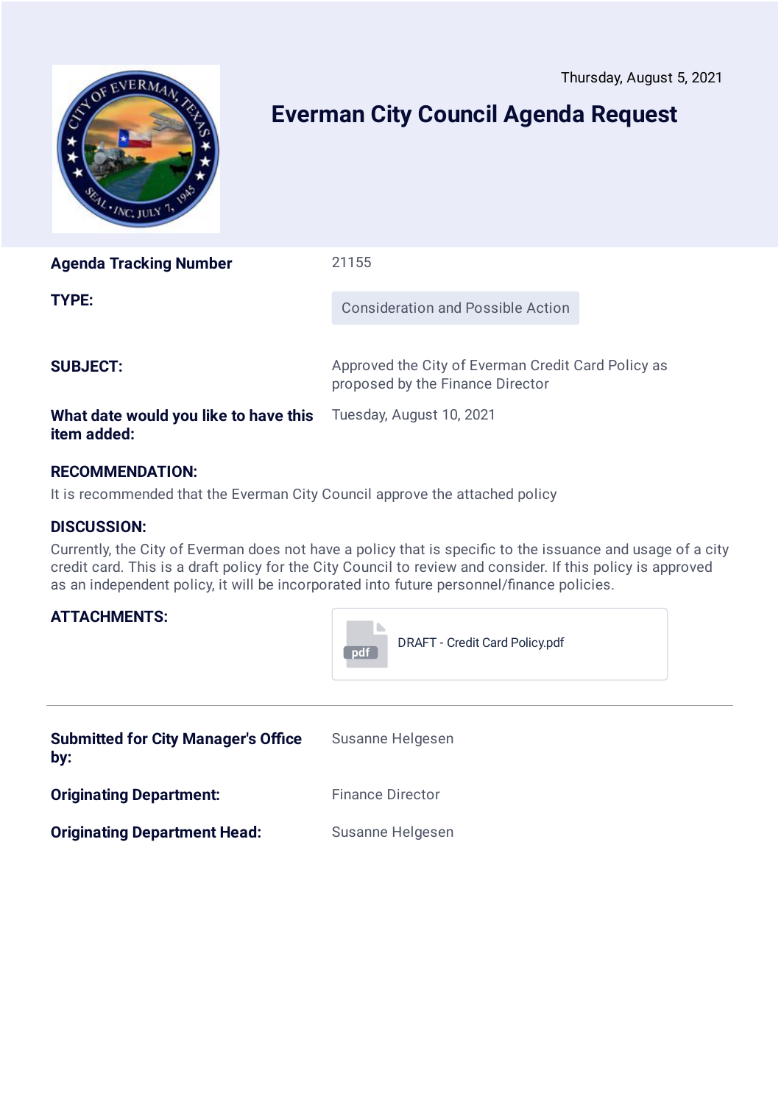<span id="page-7-0"></span>

# **Everman City Council Agenda Request**

**Agenda Tracking Number** 21155 **TYPE:** Consideration and Possible Action **SUBJECT:** Approved the City of Everman Credit Card Policy as proposed by the Finance Director

### **What date would you like to have this item added:**

Tuesday, August 10, 2021

### **RECOMMENDATION:**

It is recommended that the Everman City Council approve the attached policy

### **DISCUSSION:**

**ATTACHMENTS:**

Currently, the City of Everman does not have a policy that is specific to the issuance and usage of a city credit card. This is a draft policy for the City Council to review and consider. If this policy is approved as an independent policy, it will be incorporated into future personnel/finance policies.



| <b>Submitted for City Manager's Office</b><br>by: | Susanne Helgesen        |
|---------------------------------------------------|-------------------------|
| <b>Originating Department:</b>                    | <b>Finance Director</b> |
| <b>Originating Department Head:</b>               | Susanne Helgesen        |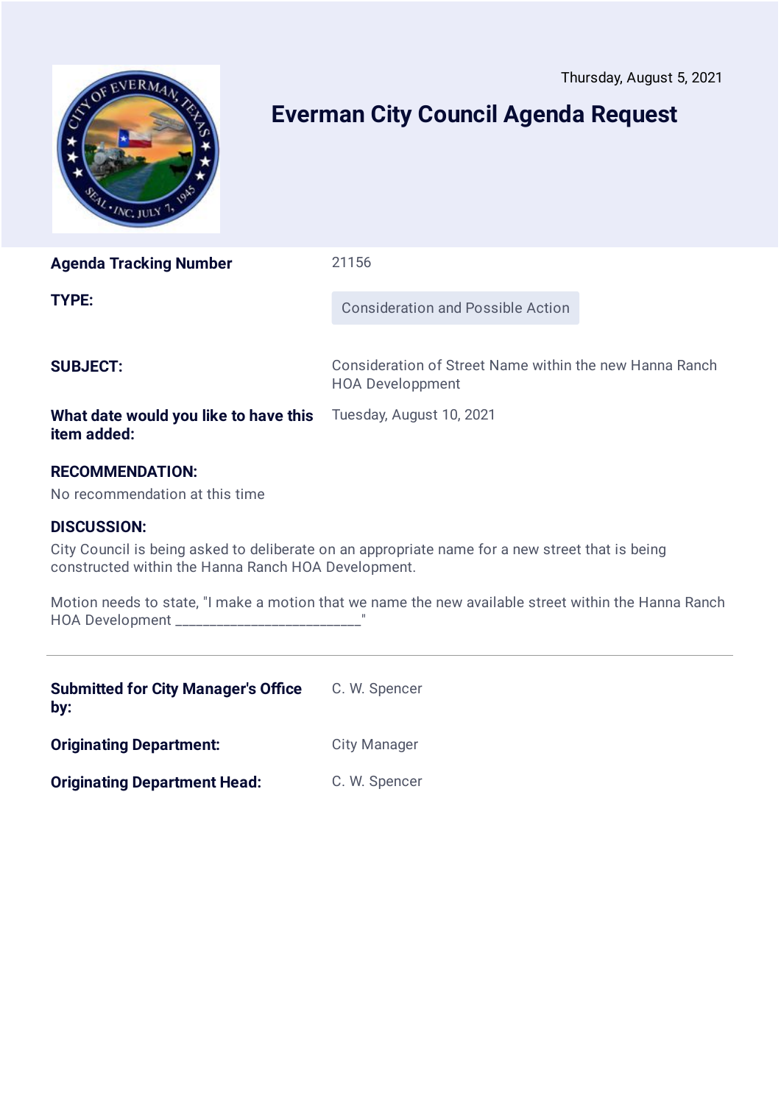<span id="page-8-0"></span>

# **Everman City Council Agenda Request**

**Agenda Tracking Number** 21156

**TYPE:** Consideration and Possible Action

**SUBJECT:** Consideration of Street Name within the new Hanna Ranch HOA Developpment

#### **What date would you like to have this** Tuesday, August 10, 2021 **item added:**

### **RECOMMENDATION:**

No recommendation at this time

### **DISCUSSION:**

City Council is being asked to deliberate on an appropriate name for a new street that is being constructed within the Hanna Ranch HOA Development.

Motion needs to state, "I make a motion that we name the new available street within the Hanna Ranch HOA Development \_\_\_\_\_\_\_\_\_\_\_\_\_\_\_\_\_\_\_\_\_\_\_\_\_\_\_"

| <b>Submitted for City Manager's Office</b><br>by: | C. W. Spencer       |
|---------------------------------------------------|---------------------|
| <b>Originating Department:</b>                    | <b>City Manager</b> |
| <b>Originating Department Head:</b>               | C. W. Spencer       |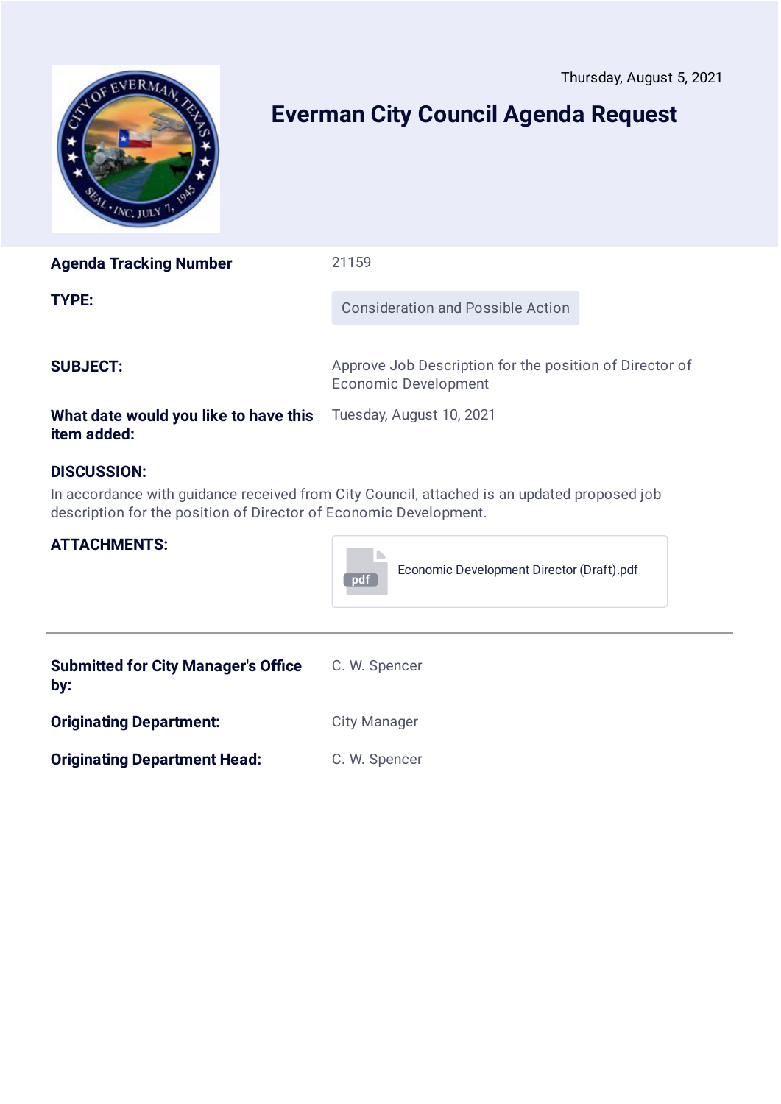<span id="page-9-0"></span>

# **Everman City Council Agenda Request**

| <b>Agenda Tracking Number</b>                        | 21159                                                                                  |
|------------------------------------------------------|----------------------------------------------------------------------------------------|
| <b>TYPE:</b>                                         | <b>Consideration and Possible Action</b>                                               |
| <b>SUBJECT:</b>                                      | Approve Job Description for the position of Director of<br><b>Economic Development</b> |
| What date would you like to have this<br>item added: | Tuesday, August 10, 2021                                                               |

### **DISCUSSION:**

In accordance with guidance received from City Council, attached is an updated proposed job description for the position of Director of Economic Development.

#### **ATTACHMENTS:**



| <b>Submitted for City Manager's Office</b><br>by: | C. W. Spencer       |
|---------------------------------------------------|---------------------|
| <b>Originating Department:</b>                    | <b>City Manager</b> |
| <b>Originating Department Head:</b>               | C. W. Spencer       |